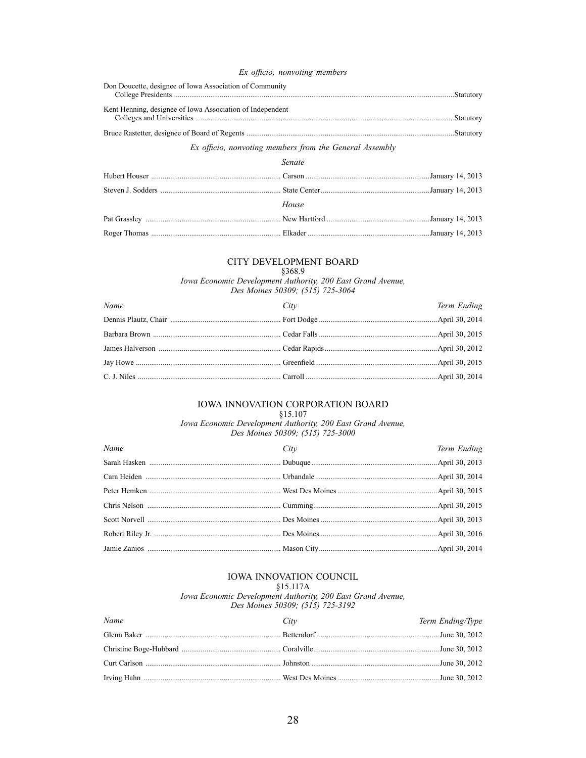#### Ex officio, nonvoting members

| Don Doucette, designee of Iowa Association of Community   |  |
|-----------------------------------------------------------|--|
| Kent Henning, designee of Iowa Association of Independent |  |
|                                                           |  |

### Ex officio, nonvoting members from the General Assembly

| Senate |  |
|--------|--|
|        |  |
|        |  |
| House  |  |
|        |  |
|        |  |

#### CITY DEVELOPMENT BOARD

### §368.9

Iowa Economic Development Authority, 200 East Grand Avenue,<br>Des Moines 50309; (515) 725-3064

| Name | City | Term Ending |
|------|------|-------------|
|      |      |             |
|      |      |             |
|      |      |             |
|      |      |             |
|      |      |             |

#### IOWA INNOVATION CORPORATION BOARD  $§15.107$

Iowa Economic Development Authority, 200 East Grand Avenue,<br>Des Moines 50309; (515) 725-3000

| Name | City | Term Ending |
|------|------|-------------|
|      |      |             |
|      |      |             |
|      |      |             |
|      |      |             |
|      |      |             |
|      |      |             |
|      |      |             |

## IOWA INNOVATION COUNCIL

 $§15.117A$ 

Iowa Economic Development Authority, 200 East Grand Avenue, Des Moines 50309; (515) 725-3192

| Name | City | Term Ending/Type |
|------|------|------------------|
|      |      |                  |
|      |      |                  |
|      |      |                  |
|      |      |                  |